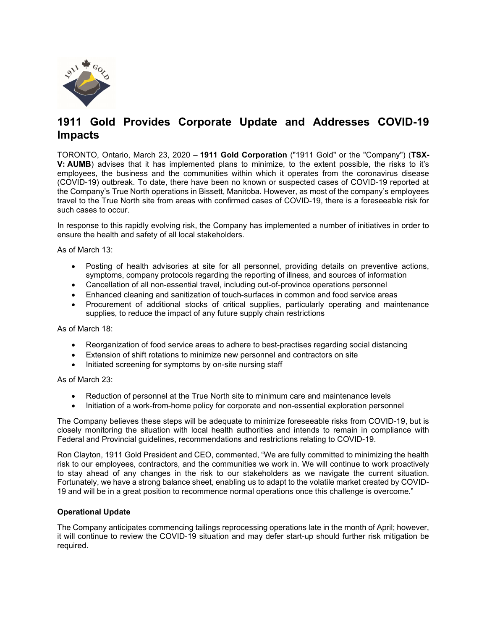

# 1911 Gold Provides Corporate Update and Addresses COVID-19 Impacts

TORONTO, Ontario, March 23, 2020 – 1911 Gold Corporation ("1911 Gold" or the "Company") (TSX-V: AUMB) advises that it has implemented plans to minimize, to the extent possible, the risks to it's employees, the business and the communities within which it operates from the coronavirus disease (COVID-19) outbreak. To date, there have been no known or suspected cases of COVID-19 reported at the Company's True North operations in Bissett, Manitoba. However, as most of the company's employees travel to the True North site from areas with confirmed cases of COVID-19, there is a foreseeable risk for such cases to occur.

In response to this rapidly evolving risk, the Company has implemented a number of initiatives in order to ensure the health and safety of all local stakeholders.

As of March 13:

- Posting of health advisories at site for all personnel, providing details on preventive actions, symptoms, company protocols regarding the reporting of illness, and sources of information
- Cancellation of all non-essential travel, including out-of-province operations personnel
- Enhanced cleaning and sanitization of touch-surfaces in common and food service areas
- Procurement of additional stocks of critical supplies, particularly operating and maintenance supplies, to reduce the impact of any future supply chain restrictions

As of March 18:

- Reorganization of food service areas to adhere to best-practises regarding social distancing
- Extension of shift rotations to minimize new personnel and contractors on site
- Initiated screening for symptoms by on-site nursing staff

As of March 23:

- Reduction of personnel at the True North site to minimum care and maintenance levels
- Initiation of a work-from-home policy for corporate and non-essential exploration personnel

The Company believes these steps will be adequate to minimize foreseeable risks from COVID-19, but is closely monitoring the situation with local health authorities and intends to remain in compliance with Federal and Provincial guidelines, recommendations and restrictions relating to COVID-19.

Ron Clayton, 1911 Gold President and CEO, commented, "We are fully committed to minimizing the health risk to our employees, contractors, and the communities we work in. We will continue to work proactively to stay ahead of any changes in the risk to our stakeholders as we navigate the current situation. Fortunately, we have a strong balance sheet, enabling us to adapt to the volatile market created by COVID-19 and will be in a great position to recommence normal operations once this challenge is overcome."

### Operational Update

The Company anticipates commencing tailings reprocessing operations late in the month of April; however, it will continue to review the COVID-19 situation and may defer start-up should further risk mitigation be required.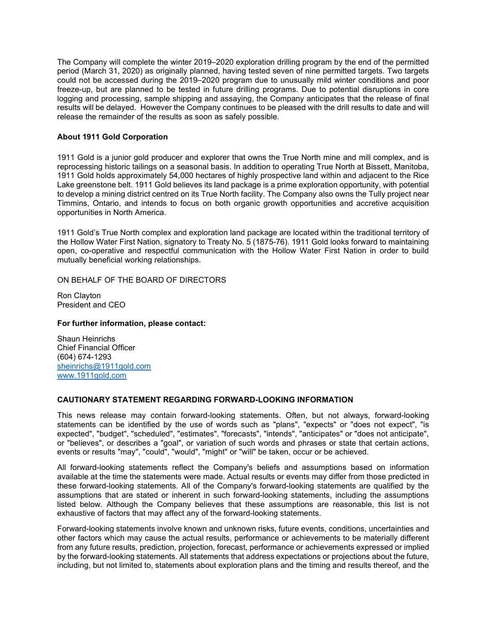The Company will complete the winter 2019–2020 exploration drilling program by the end of the permitted period (March 31, 2020) as originally planned, having tested seven of nine permitted targets. Two targets could not be accessed during the 2019–2020 program due to unusually mild winter conditions and poor freeze-up, but are planned to be tested in future drilling programs. Due to potential disruptions in core logging and processing, sample shipping and assaying, the Company anticipates that the release of final results will be delayed. However the Company continues to be pleased with the drill results to date and will release the remainder of the results as soon as safely possible.

### About 1911 Gold Corporation

1911 Gold is a junior gold producer and explorer that owns the True North mine and mill complex, and is reprocessing historic tailings on a seasonal basis. In addition to operating True North at Bissett, Manitoba, 1911 Gold holds approximately 54,000 hectares of highly prospective land within and adjacent to the Rice Lake greenstone belt. 1911 Gold believes its land package is a prime exploration opportunity, with potential to develop a mining district centred on its True North facility. The Company also owns the Tully project near Timmins, Ontario, and intends to focus on both organic growth opportunities and accretive acquisition opportunities in North America.

1911 Gold's True North complex and exploration land package are located within the traditional territory of the Hollow Water First Nation, signatory to Treaty No. 5 (1875-76). 1911 Gold looks forward to maintaining open, co-operative and respectful communication with the Hollow Water First Nation in order to build mutually beneficial working relationships.

ON BEHALF OF THE BOARD OF DIRECTORS

Ron Clayton President and CEO

#### For further information, please contact:

Shaun Heinrichs Chief Financial Officer (604) 674-1293 sheinrichs@1911gold.com www.1911gold.com

## CAUTIONARY STATEMENT REGARDING FORWARD-LOOKING INFORMATION

This news release may contain forward-looking statements. Often, but not always, forward-looking statements can be identified by the use of words such as "plans", "expects" or "does not expect", "is expected", "budget", "scheduled", "estimates", "forecasts", "intends", "anticipates" or "does not anticipate", or "believes", or describes a "goal", or variation of such words and phrases or state that certain actions, events or results "may", "could", "would", "might" or "will" be taken, occur or be achieved.

All forward-looking statements reflect the Company's beliefs and assumptions based on information available at the time the statements were made. Actual results or events may differ from those predicted in these forward-looking statements. All of the Company's forward-looking statements are qualified by the assumptions that are stated or inherent in such forward-looking statements, including the assumptions listed below. Although the Company believes that these assumptions are reasonable, this list is not exhaustive of factors that may affect any of the forward-looking statements.

Forward-looking statements involve known and unknown risks, future events, conditions, uncertainties and other factors which may cause the actual results, performance or achievements to be materially different from any future results, prediction, projection, forecast, performance or achievements expressed or implied by the forward-looking statements. All statements that address expectations or projections about the future, including, but not limited to, statements about exploration plans and the timing and results thereof, and the